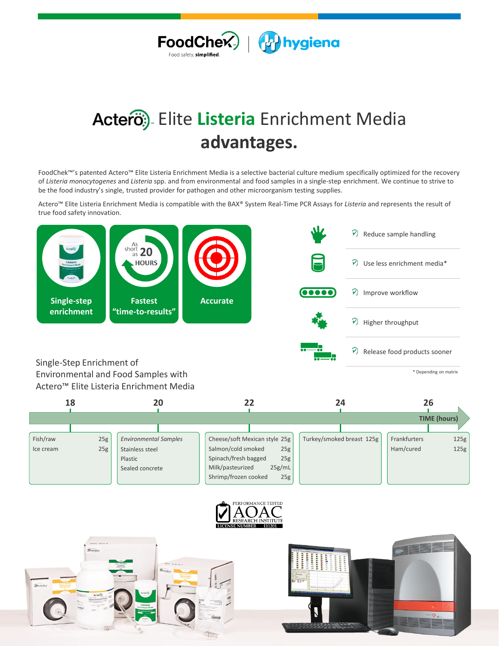

## Elite **Listeria** Enrichment Media **advantages.**

FoodChek™'s patented Actero™ Elite Listeria Enrichment Media is a selective bacterial culture medium specifically optimized for the recovery of *Listeria monocytogenes* and *Listeria* spp. and from environmental and food samples in a single-step enrichment. We continue to strive to be the food industry's single, trusted provider for pathogen and other microorganism testing supplies.

Actero™ Elite Listeria Enrichment Media is compatible with the BAX® System Real-Time PCR Assays for *Listeria* and represents the result of true food safety innovation.



## Actero™ Elite Listeria Enrichment Media

| 18        |     | 20                           |                               | 24                        | 26                   |  |
|-----------|-----|------------------------------|-------------------------------|---------------------------|----------------------|--|
|           |     |                              |                               |                           | <b>TIME</b> (hours)  |  |
|           |     |                              |                               |                           |                      |  |
| Fish/raw  | 25g | <b>Environmental Samples</b> | Cheese/soft Mexican style 25g | Turkey/smoked breast 125g | 125g<br>Frankfurters |  |
| Ice cream | 25g | Stainless steel              | Salmon/cold smoked<br>25g     |                           | 125g<br>Ham/cured    |  |
|           |     | Plastic                      | Spinach/fresh bagged<br>25g   |                           |                      |  |
|           |     | Sealed concrete              | 25g/mL<br>Milk/pasteurized    |                           |                      |  |
|           |     |                              | Shrimp/frozen cooked<br>25g   |                           |                      |  |